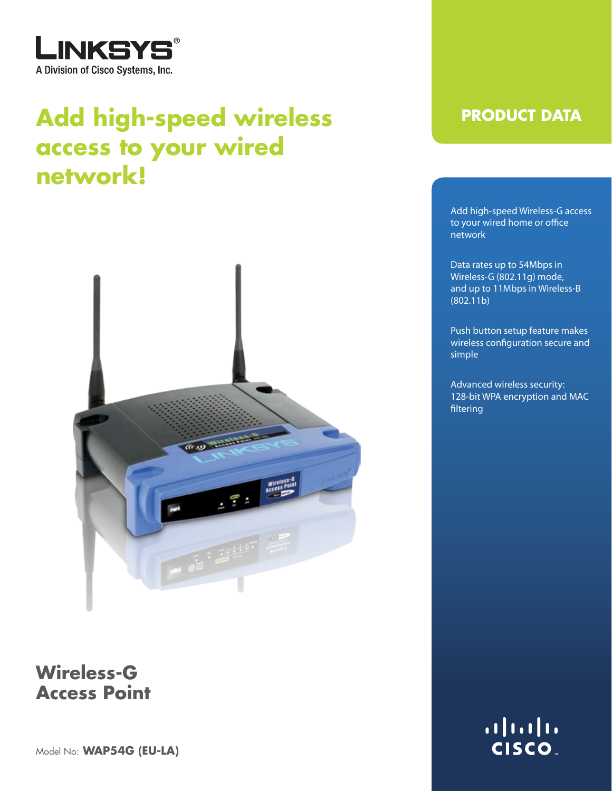

# Add high-speed wireless **PRODUCT DATA access to your wired network!**



### **Wireless-G Access Point**

Model No: **WAP54G (EU-LA)**

Add high-speed Wireless-G access to your wired home or office network

Data rates up to 54Mbps in Wireless-G (802.11g) mode, and up to 11Mbps in Wireless-B (802.11b)

Push button setup feature makes wireless configuration secure and simple

Advanced wireless security: 128-bit WPA encryption and MAC filtering

> $\left( \left\vert \cdot\right\vert \cdot\right)$ **CISCO**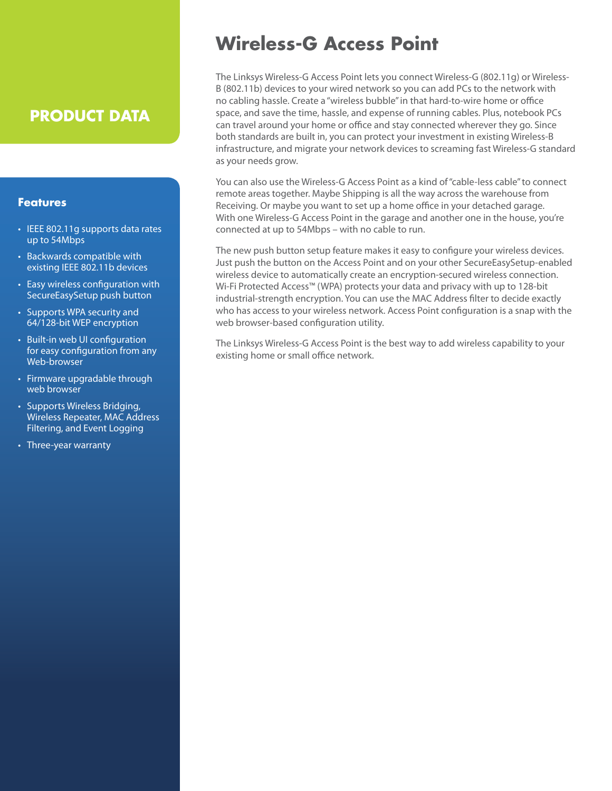### **PRODUCT DATA**

### **Features**

- IEEE 802.11g supports data rates up to 54Mbps
- Backwards compatible with existing IEEE 802.11b devices
- Easy wireless configuration with SecureEasySetup push button
- Supports WPA security and 64/128-bit WEP encryption
- Built-in web UI configuration for easy configuration from any Web-browser
- Firmware upgradable through web browser
- Supports Wireless Bridging, Wireless Repeater, MAC Address Filtering, and Event Logging
- Three-year warranty

## **Wireless-G Access Point**

The Linksys Wireless-G Access Point lets you connect Wireless-G (802.11g) or Wireless-B (802.11b) devices to your wired network so you can add PCs to the network with no cabling hassle. Create a "wireless bubble" in that hard-to-wire home or office space, and save the time, hassle, and expense of running cables. Plus, notebook PCs can travel around your home or office and stay connected wherever they go. Since both standards are built in, you can protect your investment in existing Wireless-B infrastructure, and migrate your network devices to screaming fast Wireless-G standard as your needs grow.

You can also use the Wireless-G Access Point as a kind of "cable-less cable" to connect remote areas together. Maybe Shipping is all the way across the warehouse from Receiving. Or maybe you want to set up a home office in your detached garage. With one Wireless-G Access Point in the garage and another one in the house, you're connected at up to 54Mbps – with no cable to run.

The new push button setup feature makes it easy to configure your wireless devices. Just push the button on the Access Point and on your other SecureEasySetup-enabled wireless device to automatically create an encryption-secured wireless connection. Wi-Fi Protected Access™ (WPA) protects your data and privacy with up to 128-bit industrial-strength encryption. You can use the MAC Address filter to decide exactly who has access to your wireless network. Access Point configuration is a snap with the web browser-based configuration utility.

The Linksys Wireless-G Access Point is the best way to add wireless capability to your existing home or small office network.